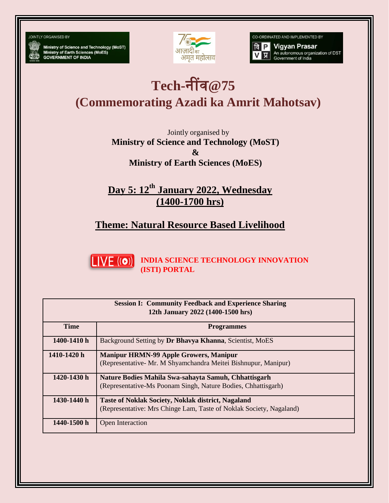**JOINTLY ORGANISED BY** 

Ministry of Science and Technology (MoST)<br>Ministry of Earth Sciences (MoES)<br>GOVERNMENT OF INDIA



CO-ORDINATED AND IMPLEMENTED BY

**वि P** Vigyan Prasar An autonomous organization of DST<br>Government of India

## **Tech-**नींव**@75**

**(Commemorating Azadi ka Amrit Mahotsav)**

Jointly organised by **Ministry of Science and Technology (MoST) & Ministry of Earth Sciences (MoES)**

**Day 5: 12th January 2022, Wednesday (1400-1700 hrs)**

**Theme: Natural Resource Based Livelihood**



**INDIA SCIENCE TECHNOLOGY INNOVATION (ISTI) PORTAL**

| <b>Session I: Community Feedback and Experience Sharing</b><br>12th January 2022 (1400-1500 hrs) |                                                                                                                                  |  |
|--------------------------------------------------------------------------------------------------|----------------------------------------------------------------------------------------------------------------------------------|--|
| <b>Time</b>                                                                                      | <b>Programmes</b>                                                                                                                |  |
| 1400-1410 h                                                                                      | Background Setting by Dr Bhavya Khanna, Scientist, MoES                                                                          |  |
| 1410-1420 h                                                                                      | <b>Manipur HRMN-99 Apple Growers, Manipur</b><br>(Representative- Mr. M Shyamchandra Meitei Bishnupur, Manipur)                  |  |
| 1420-1430 h                                                                                      | Nature Bodies Mahila Swa-sahayta Samuh, Chhattisgarh<br>(Representative-Ms Poonam Singh, Nature Bodies, Chhattisgarh)            |  |
| 1430-1440 h                                                                                      | <b>Taste of Noklak Society, Noklak district, Nagaland</b><br>(Representative: Mrs Chinge Lam, Taste of Noklak Society, Nagaland) |  |
| 1440-1500 h                                                                                      | Open Interaction                                                                                                                 |  |